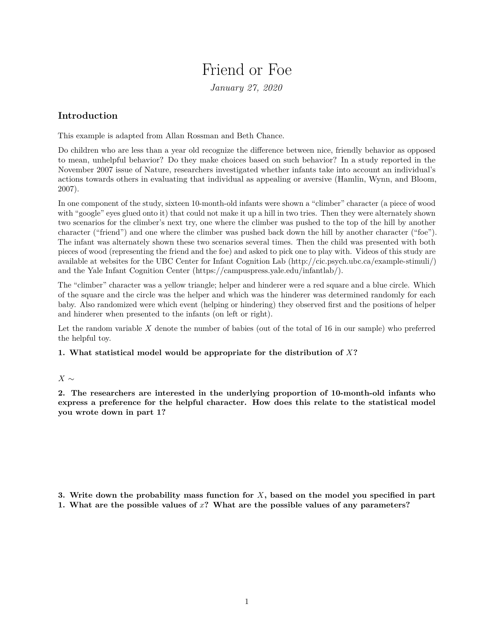## Friend or Foe

*January 27, 2020*

## **Introduction**

This example is adapted from Allan Rossman and Beth Chance.

Do children who are less than a year old recognize the difference between nice, friendly behavior as opposed to mean, unhelpful behavior? Do they make choices based on such behavior? In a study reported in the November 2007 issue of Nature, researchers investigated whether infants take into account an individual's actions towards others in evaluating that individual as appealing or aversive (Hamlin, Wynn, and Bloom, 2007).

In one component of the study, sixteen 10-month-old infants were shown a "climber" character (a piece of wood with "google" eyes glued onto it) that could not make it up a hill in two tries. Then they were alternately shown two scenarios for the climber's next try, one where the climber was pushed to the top of the hill by another character ("friend") and one where the climber was pushed back down the hill by another character ("foe"). The infant was alternately shown these two scenarios several times. Then the child was presented with both pieces of wood (representing the friend and the foe) and asked to pick one to play with. Videos of this study are available at websites for the UBC Center for Infant Cognition Lab [\(http://cic.psych.ubc.ca/example-stimuli/\)](http://cic.psych.ubc.ca/example-stimuli/) and the Yale Infant Cognition Center [\(https://campuspress.yale.edu/infantlab/\)](https://campuspress.yale.edu/infantlab/).

The "climber" character was a yellow triangle; helper and hinderer were a red square and a blue circle. Which of the square and the circle was the helper and which was the hinderer was determined randomly for each baby. Also randomized were which event (helping or hindering) they observed first and the positions of helper and hinderer when presented to the infants (on left or right).

Let the random variable *X* denote the number of babies (out of the total of 16 in our sample) who preferred the helpful toy.

## **1. What statistical model would be appropriate for the distribution of** *X***?**

## *X* ∼

**2. The researchers are interested in the underlying proportion of 10-month-old infants who express a preference for the helpful character. How does this relate to the statistical model you wrote down in part 1?**

**3. Write down the probability mass function for** *X***, based on the model you specified in part 1. What are the possible values of** *x***? What are the possible values of any parameters?**